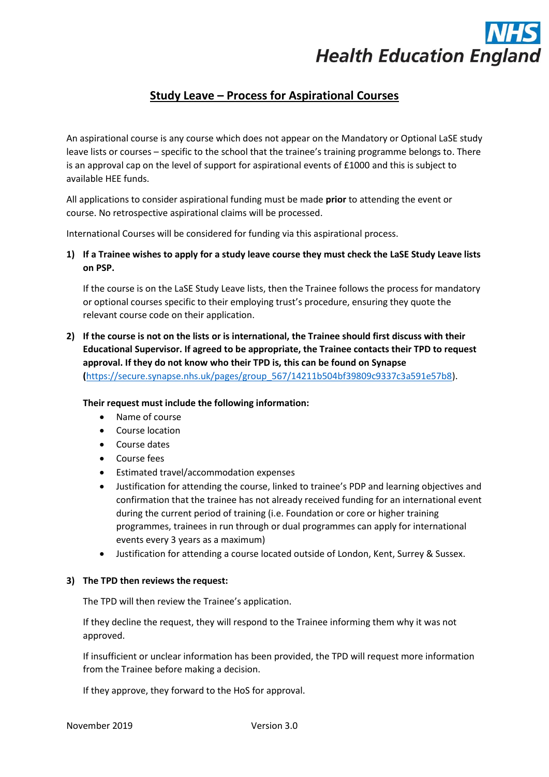

## **Study Leave – Process for Aspirational Courses**

An aspirational course is any course which does not appear on the Mandatory or Optional LaSE study leave lists or courses – specific to the school that the trainee's training programme belongs to. There is an approval cap on the level of support for aspirational events of £1000 and this is subject to available HEE funds.

All applications to consider aspirational funding must be made **prior** to attending the event or course. No retrospective aspirational claims will be processed.

International Courses will be considered for funding via this aspirational process.

**1) If a Trainee wishes to apply for a study leave course they must check the LaSE Study Leave lists on PSP.**

If the course is on the LaSE Study Leave lists, then the Trainee follows the process for mandatory or optional courses specific to their employing trust's procedure, ensuring they quote the relevant course code on their application.

**2) If the course is not on the lists or is international, the Trainee should first discuss with their Educational Supervisor. If agreed to be appropriate, the Trainee contacts their TPD to request approval. If they do not know who their TPD is, this can be found on Synapse (**[https://secure.synapse.nhs.uk/pages/group\\_567/14211b504bf39809c9337c3a591e57b8\)](https://secure.synapse.nhs.uk/pages/group_567/14211b504bf39809c9337c3a591e57b8).

**Their request must include the following information:**

- Name of course
- Course location
- Course dates
- Course fees
- Estimated travel/accommodation expenses
- Justification for attending the course, linked to trainee's PDP and learning objectives and confirmation that the trainee has not already received funding for an international event during the current period of training (i.e. Foundation or core or higher training programmes, trainees in run through or dual programmes can apply for international events every 3 years as a maximum)
- Justification for attending a course located outside of London, Kent, Surrey & Sussex.

## **3) The TPD then reviews the request:**

The TPD will then review the Trainee's application.

If they decline the request, they will respond to the Trainee informing them why it was not approved.

If insufficient or unclear information has been provided, the TPD will request more information from the Trainee before making a decision.

If they approve, they forward to the HoS for approval.